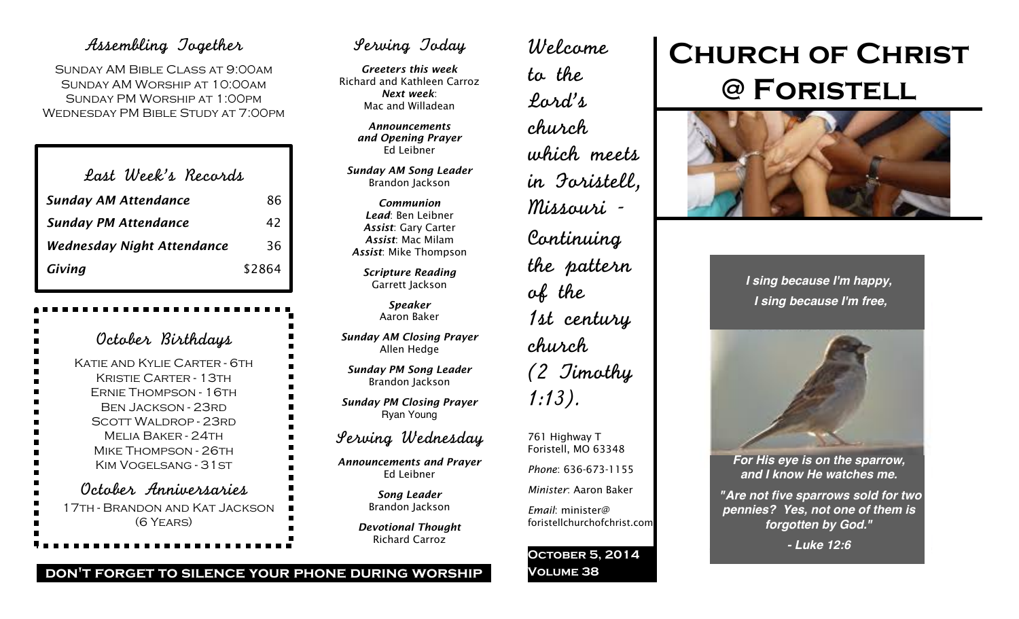# Assembling Together

Sunday AM Bible Class at 9:00am Sunday AM Worship at 10:00am Sunday PM Worship at 1:00pm Wednesday PM Bible Study at 7:00pm

| Last Week's Records               |        |
|-----------------------------------|--------|
| <b>Sunday AM Attendance</b>       | 86     |
| <b>Sunday PM Attendance</b>       | 42     |
| <b>Wednesday Night Attendance</b> | 36     |
| Giving                            | \$2864 |

| October Birthdays                                                                                                                                                                                                         |
|---------------------------------------------------------------------------------------------------------------------------------------------------------------------------------------------------------------------------|
| Katif and Kylif Carter - 6th<br><b>KRISTIE CARTER - 13TH</b><br>ERNIE THOMPSON - 16TH<br>Ben Jackson - 23rd<br><b>SCOTT WALDROP - 23RD</b><br>Mfi ia Rakfr - 24th<br><b>MIKE THOMPSON - 26TH</b><br>KIM VOGELSANG - 31 ST |
| October Anniversaries<br>17TH - BRANDON AND KAT JACKSON<br>(6 YEARS)                                                                                                                                                      |

# Serving Today

*Greeters this week* Richard and Kathleen Carroz *Next week*: Mac and Willadean

> *Announcements and Opening Prayer* Ed Leibner

*Sunday AM Song Leader* Brandon Jackson

*Communion Lead*: Ben Leibner *Assist*: Gary Carter *Assist*: Mac Milam *Assist*: Mike Thompson

*Scripture Reading* Garrett Jackson

> *Speaker* Aaron Baker

*Sunday AM Closing Prayer* Allen Hedge

*Sunday PM Song Leader* Brandon Jackson

*Sunday PM Closing Prayer* Ryan Young

# Serving Wednesday

*Announcements and Prayer* Ed Leibner

> *Song Leader* Brandon Jackson

*Devotional Thought* Richard Carroz

Welcome to the Lord's church which meets in Foristell, Missouri - Continuing the pattern of the 1st century church (2 Timothy 1:13).

761 Highway T Foristell, MO 63348 *Phone*: 636-673-1155 *Minister*: Aaron Baker *Email*: minister@ foristellchurchofchrist.com

**October 5, 2014 Volume 38**

# **Church of Christ @ Foristell**



*I sing because I'm happy, I sing because I'm free,*



*For His eye is on the sparrow, and I know He watches me.*

*"Are not five sparrows sold for two pennies? Yes, not one of them is forgotten by God."*

*- Luke 12:6*

# **don't forget to silence your phone during worship**